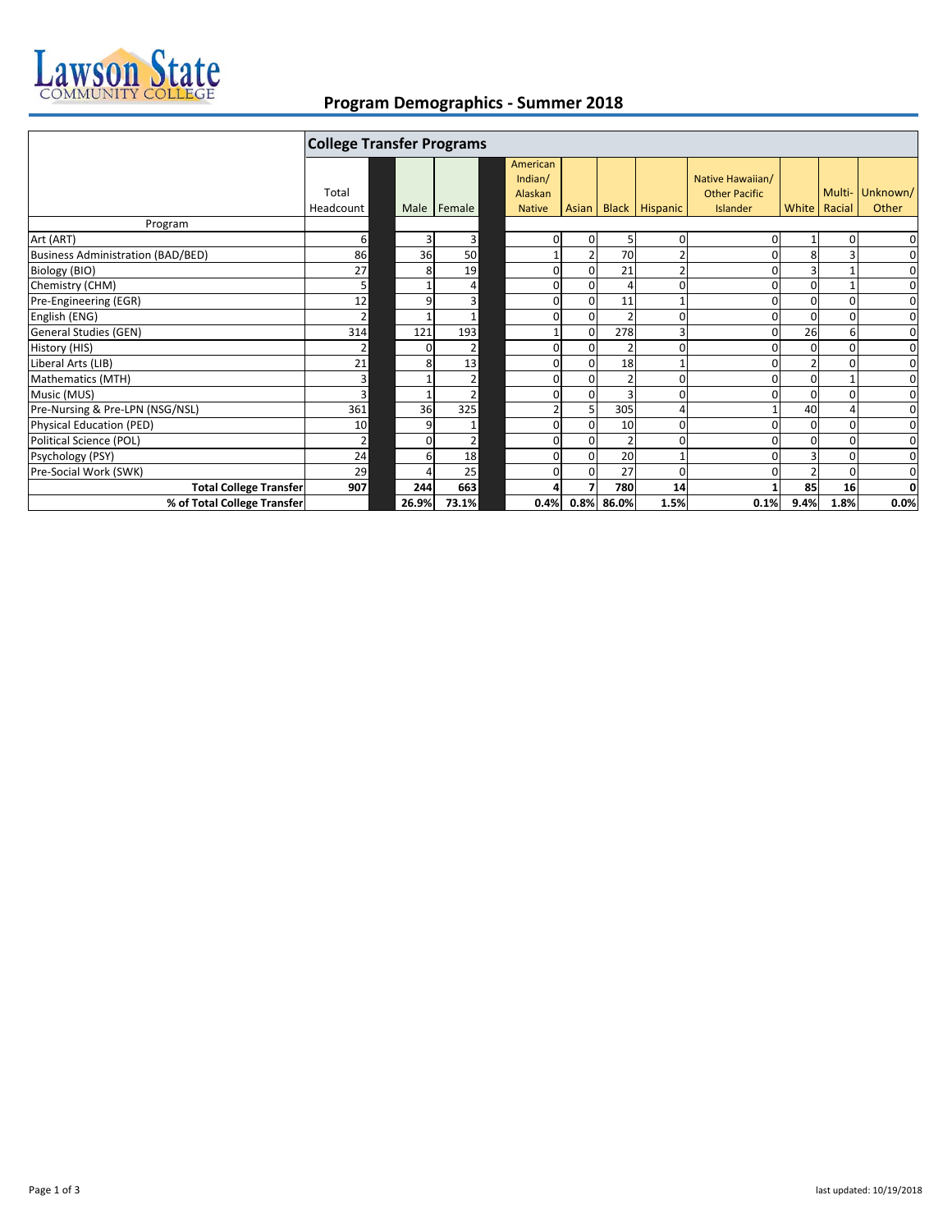

## **Program Demographics ‐ Summer 2018**

|                                   | <b>College Transfer Programs</b> |              |                |                          |                |                |                      |                                  |      |              |             |
|-----------------------------------|----------------------------------|--------------|----------------|--------------------------|----------------|----------------|----------------------|----------------------------------|------|--------------|-------------|
|                                   | Total                            |              |                | American<br>Indian/      |                |                |                      | Native Hawaiian/                 |      | Multi-       | Unknown/    |
|                                   | Headcount                        |              | Male Female    | Alaskan<br><b>Native</b> |                |                | Asian Black Hispanic | <b>Other Pacific</b><br>Islander |      | White Racial | Other       |
| Program                           |                                  |              |                |                          |                |                |                      |                                  |      |              |             |
| Art (ART)                         | 6                                | Р            | 3              | $\mathbf{0}$             | 0              | 5              | 0                    |                                  |      |              | $\mathbf 0$ |
| Business Administration (BAD/BED) | 86                               | 36           | 50             |                          |                | 70             | $\overline{2}$       |                                  | 8    |              | 0           |
| Biology (BIO)                     | 27                               |              | 19             | 0                        | $\overline{0}$ | 21             |                      |                                  |      |              | $\mathbf 0$ |
| Chemistry (CHM)                   | 5                                |              | 4              | $\mathbf{0}$             | $\mathbf{0}$   | $\overline{4}$ | ŋ                    |                                  | O    |              | 0           |
| Pre-Engineering (EGR)             | 12                               | q            | 3              | 0                        | $\Omega$       | 11             |                      |                                  |      |              | $\mathbf 0$ |
| English (ENG)                     | $\overline{2}$                   |              |                | 0                        | $\mathbf{0}$   | $\mathcal{P}$  | ŋ                    |                                  | O    |              | $\mathbf 0$ |
| General Studies (GEN)             | 314                              | 121          | 193            |                          | $\Omega$       | 278            | 3                    |                                  | 26   | 6            | $\mathbf 0$ |
| History (HIS)                     | 2                                | $\Omega$     | 2 <sub>l</sub> | $\overline{0}$           | $\Omega$       | $\mathcal{P}$  | ŋ                    |                                  | O    |              | 0           |
| Liberal Arts (LIB)                | 21                               |              | 13             | 0                        | $\Omega$       | 18             |                      |                                  |      |              | $\mathbf 0$ |
| Mathematics (MTH)                 | $\overline{3}$                   |              | 2              | 0                        | $\Omega$       |                | ŋ                    |                                  |      |              | 0           |
| Music (MUS)                       | $\overline{3}$                   |              | 2              | 0                        | $\Omega$       |                | ŋ                    |                                  |      |              | $\mathbf 0$ |
| Pre-Nursing & Pre-LPN (NSG/NSL)   | 361                              | 36           | 325            | 2                        | 5              | 305            | 4                    |                                  | 40   |              | 0           |
| Physical Education (PED)          | 10                               | q            |                | 0                        | $\Omega$       | 10             | ŋ                    |                                  | O    |              | $\mathbf 0$ |
| Political Science (POL)           | 2                                | <sup>0</sup> | 2              | 0                        | $\Omega$       |                | ŋ                    |                                  |      |              | 0           |
| Psychology (PSY)                  | 24                               |              | 18             | 0                        | $\Omega$       | 20             |                      |                                  |      |              | $\mathbf 0$ |
| Pre-Social Work (SWK)             | 29                               |              | 25             | 0                        | $\Omega$       | 27             | 0                    |                                  |      |              | 0           |
| <b>Total College Transfer</b>     | 907                              | 244          | 663            |                          |                | 780            | 14                   |                                  | 85   | 16           | $\mathbf 0$ |
| % of Total College Transfer       |                                  | 26.9%        | 73.1%          | 0.4%                     | 0.8%           | 86.0%          | 1.5%                 | 0.1%                             | 9.4% | 1.8%         | 0.0%        |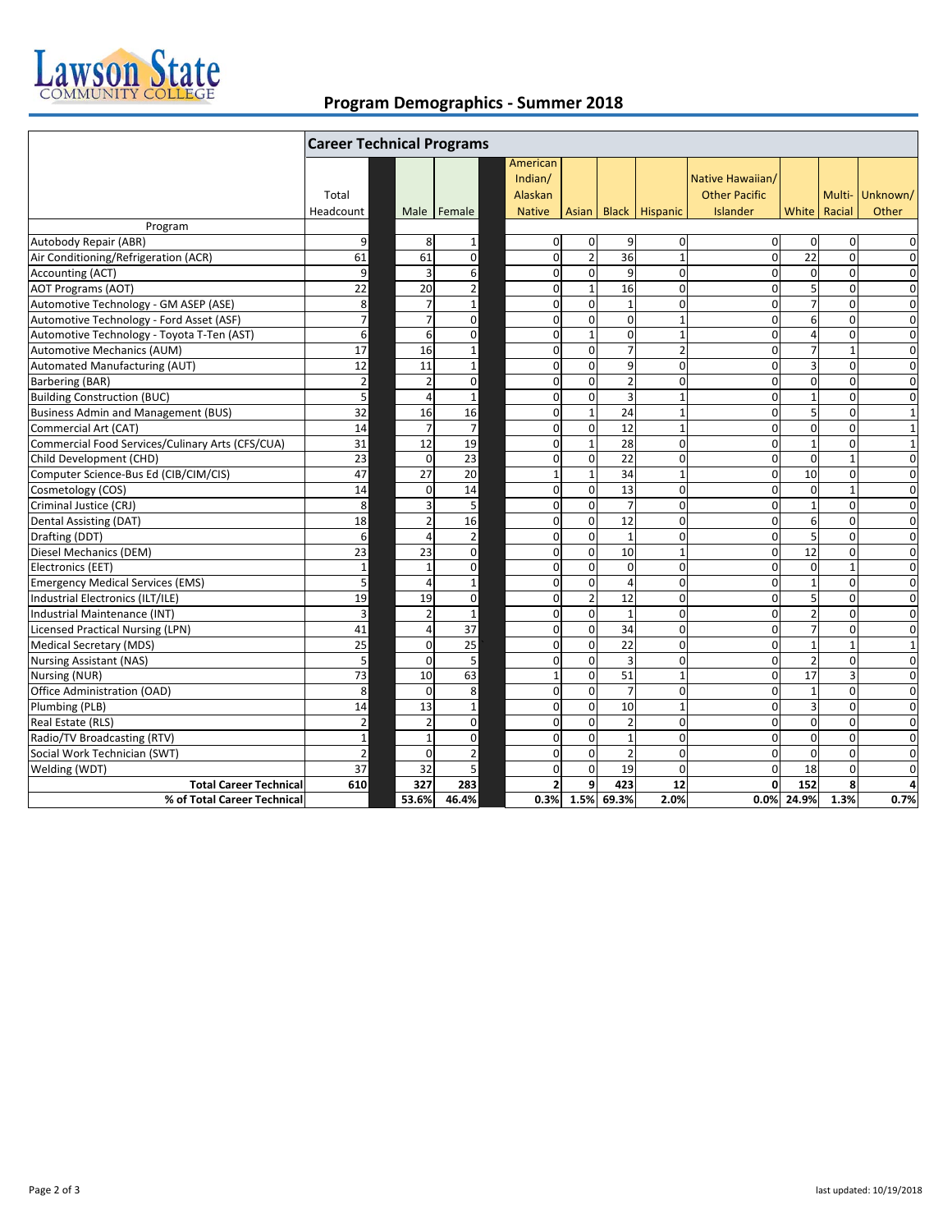

## **Program Demographics ‐ Summer 2018**

|                                                  | <b>Career Technical Programs</b> |                |                |             |                                                 |                |                |                          |                                                      |                         |                  |                          |
|--------------------------------------------------|----------------------------------|----------------|----------------|-------------|-------------------------------------------------|----------------|----------------|--------------------------|------------------------------------------------------|-------------------------|------------------|--------------------------|
|                                                  | Total<br>Headcount               |                | Male Female    |             | American<br>Indian/<br>Alaskan<br><b>Native</b> |                |                | Asian   Black   Hispanic | Native Hawaiian/<br><b>Other Pacific</b><br>Islander |                         | White Racial     | Multi- Unknown/<br>Other |
| Program                                          |                                  |                |                |             |                                                 |                |                |                          |                                                      |                         |                  |                          |
| Autobody Repair (ABR)                            | 9                                | 8              | $\mathbf 1$    |             | $\overline{0}$                                  | $\mathbf 0$    | 9              | $\mathbf 0$              | $\mathbf 0$                                          | $\mathbf{0}$            | $\mathbf 0$      | $\mathbf 0$              |
| Air Conditioning/Refrigeration (ACR)             | 61                               | 61             | $\mathbf 0$    |             | $\mathbf 0$                                     | $\overline{2}$ | 36             | $\mathbf{1}$             | $\mathbf 0$                                          | 22                      | $\mathbf 0$      | $\mathbf 0$              |
| Accounting (ACT)                                 | 9                                | 3              | 6              |             | $\mathbf 0$                                     | $\mathbf 0$    | 9              | $\mathbf 0$              | $\mathbf 0$                                          | $\mathbf 0$             | $\boldsymbol{0}$ | $\mathbf 0$              |
| <b>AOT Programs (AOT)</b>                        | 22                               | 20             | $\mathbf 2$    |             | $\mathbf 0$                                     | $\mathbf 1$    | 16             | $\mathbf 0$              | $\mathbf 0$                                          | 5                       | $\mathbf 0$      | $\mathbf 0$              |
| Automotive Technology - GM ASEP (ASE)            | 8 <sup>1</sup>                   |                | $\mathbf 1$    |             | $\mathbf 0$                                     | $\mathbf{0}$   | $\mathbf{1}$   | $\Omega$                 | $\Omega$                                             | $\overline{7}$          | $\mathbf 0$      | $\mathbf 0$              |
| Automotive Technology - Ford Asset (ASF)         | $\overline{7}$                   |                | $\mathbf 0$    |             | $\mathbf 0$                                     | $\mathbf 0$    | $\mathbf 0$    | $\mathbf{1}$             | $\mathbf 0$                                          | 6                       | $\mathbf 0$      | $\mathbf 0$              |
| Automotive Technology - Toyota T-Ten (AST)       | $6 \overline{6}$                 | 6              |                | $\mathbf 0$ | $\mathbf 0$                                     | $\mathbf{1}$   | $\Omega$       | $\mathbf{1}$             | $\mathbf 0$                                          | 4                       | $\mathbf 0$      | $\mathbf 0$              |
| Automotive Mechanics (AUM)                       | 17                               | 16             | $\mathbf 1$    |             | $\mathbf 0$                                     | $\mathbf 0$    | $\overline{7}$ | $\overline{2}$           | $\mathbf 0$                                          | $\overline{7}$          | $\mathbf{1}$     | $\mathbf 0$              |
| Automated Manufacturing (AUT)                    | 12                               | 11             | $\mathbf 1$    |             | $\mathbf 0$                                     | $\mathbf 0$    | 9              | $\mathbf 0$              | $\mathbf 0$                                          | $\overline{\mathbf{3}}$ | $\mathbf 0$      | $\mathbf 0$              |
| Barbering (BAR)                                  | $\overline{2}$                   |                | $\mathbf 0$    |             | 0                                               | $\mathbf{0}$   | $\overline{2}$ | $\Omega$                 | $\Omega$                                             | $\Omega$                | $\Omega$         | $\mathbf 0$              |
| <b>Building Construction (BUC)</b>               | 5                                | Δ              | $\mathbf 1$    |             | $\mathbf 0$                                     | $\mathbf 0$    | 3              | $\mathbf{1}$             | $\mathbf 0$                                          | $\mathbf{1}$            | $\mathbf 0$      | $\mathbf 0$              |
| <b>Business Admin and Management (BUS)</b>       | 32                               | 16             | 16             |             | $\mathbf 0$                                     | $\mathbf 1$    | 24             | $\mathbf{1}$             | $\mathbf 0$                                          | 5                       | $\pmb{0}$        | $\mathbf{1}$             |
| Commercial Art (CAT)                             | 14                               | $\overline{7}$ | $\overline{7}$ |             | $\mathbf 0$                                     | $\mathbf 0$    | 12             | $\mathbf{1}$             | $\mathbf 0$                                          | $\mathbf 0$             | $\mathbf 0$      | $\mathbf{1}$             |
| Commercial Food Services/Culinary Arts (CFS/CUA) | $\overline{31}$                  | 12             | 19             |             | $\mathbf 0$                                     | $\mathbf{1}$   | 28             | $\mathbf 0$              | $\mathbf 0$                                          | $\mathbf{1}$            | $\mathbf 0$      | $\mathbf{1}$             |
| Child Development (CHD)                          | 23                               | $\Omega$       | 23             |             | $\mathbf 0$                                     | $\mathbf{0}$   | 22             | $\mathbf 0$              | $\Omega$                                             | $\Omega$                | $\mathbf{1}$     | $\mathbf 0$              |
| Computer Science-Bus Ed (CIB/CIM/CIS)            | 47                               | 27             | 20             |             | $\mathbf{1}$                                    | $\mathbf 1$    | 34             | $\mathbf{1}$             | $\mathbf 0$                                          | 10                      | $\boldsymbol{0}$ | $\mathbf 0$              |
| Cosmetology (COS)                                | 14                               | $\Omega$       | 14             |             | $\mathbf 0$                                     | $\mathbf 0$    | 13             | $\mathbf 0$              | $\mathbf 0$                                          | $\mathbf 0$             | $\mathbf{1}$     | $\mathbf 0$              |
| Criminal Justice (CRJ)                           | 8                                | ξ              | 5              |             | $\mathbf 0$                                     | $\mathbf 0$    | $\overline{7}$ | $\mathbf 0$              | $\mathbf 0$                                          | $\mathbf{1}$            | $\mathbf 0$      | 0                        |
| <b>Dental Assisting (DAT)</b>                    | 18                               | 2              | 16             |             | $\mathbf 0$                                     | $\mathbf 0$    | 12             | $\mathbf 0$              | $\mathbf 0$                                          | $6\phantom{1}$          | $\pmb{0}$        | $\mathbf 0$              |
| Drafting (DDT)                                   | $6 \overline{6}$                 | $\Lambda$      | $\mathbf 2$    |             | $\mathbf 0$                                     | $\mathbf 0$    | $\mathbf{1}$   | $\Omega$                 | $\Omega$                                             | 5                       | $\Omega$         | $\mathbf 0$              |
| Diesel Mechanics (DEM)                           | 23                               | 23             | $\mathbf 0$    |             | 0                                               | $\mathbf 0$    | 10             | $\mathbf{1}$             | $\mathbf 0$                                          | 12                      | $\mathbf 0$      | 0                        |
| Electronics (EET)                                | $\mathbf{1}$                     | $\overline{1}$ | $\mathbf 0$    |             | $\mathbf 0$                                     | $\mathbf 0$    | $\mathbf 0$    | $\mathbf 0$              | $\mathbf 0$                                          | $\mathbf 0$             | $\mathbf{1}$     | 0                        |
| <b>Emergency Medical Services (EMS)</b>          | 5                                | Δ              | $\mathbf 1$    |             | $\mathbf 0$                                     | $\mathbf 0$    | $\overline{4}$ | $\Omega$                 | $\Omega$                                             | $\mathbf{1}$            | $\Omega$         | $\mathbf 0$              |
| Industrial Electronics (ILT/ILE)                 | 19                               | 19             | $\pmb{0}$      |             | $\mathbf 0$                                     | $\mathbf 2$    | 12             | $\mathbf 0$              | $\mathbf 0$                                          | 5                       | $\mathbf 0$      | $\mathbf 0$              |
| Industrial Maintenance (INT)                     | 3                                |                | $\mathbf{1}$   |             | $\mathbf 0$                                     | $\mathbf 0$    | $\mathbf{1}$   | $\mathbf 0$              | $\Omega$                                             | $\overline{2}$          | $\mathbf 0$      | $\mathbf 0$              |
| <b>Licensed Practical Nursing (LPN)</b>          | 41                               | 4              | 37             |             | $\mathbf 0$                                     | $\mathbf 0$    | 34             | $\Omega$                 | $\Omega$                                             | $\overline{7}$          | $\mathbf 0$      | $\mathbf 0$              |
| Medical Secretary (MDS)                          | 25                               | $\Omega$       | 25             |             | $\mathbf 0$                                     | $\mathbf 0$    | 22             | $\mathbf 0$              | $\mathbf 0$                                          | $\mathbf{1}$            | $\mathbf{1}$     | $\mathbf{1}$             |
| <b>Nursing Assistant (NAS)</b>                   | 5                                | $\Omega$       | 5              |             | $\mathbf 0$                                     | $\mathbf 0$    | 3              | $\Omega$                 | $\Omega$                                             | $\overline{2}$          | $\mathbf 0$      | $\mathbf 0$              |
| <b>Nursing (NUR)</b>                             | 73                               | 10             | 63             |             | $\mathbf{1}$                                    | $\mathbf 0$    | 51             | $\mathbf{1}$             | $\mathbf 0$                                          | 17                      | 3                | $\mathbf 0$              |
| Office Administration (OAD)                      | 8 <sup>1</sup>                   | $\Omega$       | 8              |             | $\mathbf 0$                                     | $\mathbf 0$    | $\overline{7}$ | $\overline{0}$           | $\Omega$                                             | $\mathbf{1}$            | $\Omega$         | $\overline{0}$           |
| Plumbing (PLB)                                   | 14                               | 13             | $\mathbf 1$    |             | 0                                               | $\mathbf 0$    | 10             | $\mathbf{1}$             | $\Omega$                                             | $\overline{3}$          | $\mathbf 0$      | $\mathbf 0$              |
| Real Estate (RLS)                                | $\mathbf 2$                      | $\overline{2}$ | $\mathbf 0$    |             | $\mathbf 0$                                     | $\mathbf 0$    | $\overline{2}$ | $\boldsymbol{0}$         | $\mathbf 0$                                          | $\mathbf{0}$            | $\pmb{0}$        | $\mathbf 0$              |
| Radio/TV Broadcasting (RTV)                      | $\mathbf{1}$                     | 1              | $\mathbf 0$    |             | $\mathbf 0$                                     | $\mathbf 0$    | $\mathbf{1}$   | $\mathbf 0$              | $\Omega$                                             | $\mathbf{0}$            | $\mathbf 0$      | $\mathbf 0$              |
| Social Work Technician (SWT)                     | $\overline{2}$                   | $\Omega$       | $\mathbf 2$    |             | $\mathbf 0$                                     | $\mathbf 0$    | $\overline{2}$ | $\mathbf 0$              | $\Omega$                                             | $\mathbf 0$             | $\mathbf 0$      | $\mathbf 0$              |
| Welding (WDT)                                    | $\overline{37}$                  | 32             | 5              |             | $\mathbf 0$                                     | $\mathbf 0$    | 19             | $\mathbf 0$              | $\Omega$                                             | 18                      | $\mathbf 0$      | $\mathbf 0$              |
| <b>Total Career Technical</b>                    | 610                              | 327            | 283            |             | $\overline{2}$                                  | $\overline{9}$ | 423            | 12                       | $\mathbf{0}$                                         | 152                     | 8                | 4                        |
| % of Total Career Technical                      |                                  | 53.6%          | 46.4%          |             | 0.3%                                            |                | 1.5% 69.3%     | 2.0%                     | 0.0%                                                 | 24.9%                   | 1.3%             | 0.7%                     |